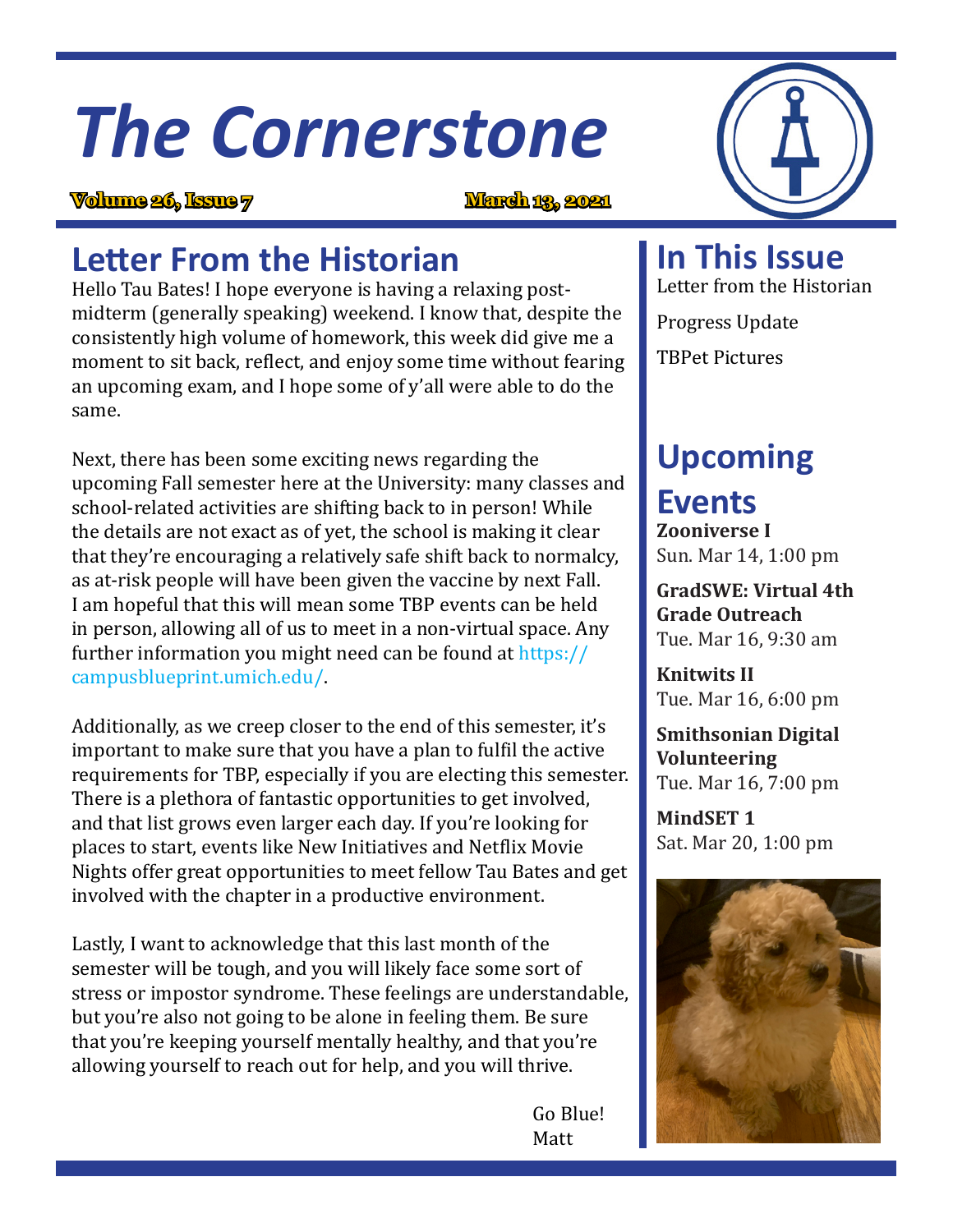# *The Cornerstone*

## **Volume 26, Issue 7 March 13, 2021**



Hello Tau Bates! I hope everyone is having a relaxing postmidterm (generally speaking) weekend. I know that, despite the consistently high volume of homework, this week did give me a moment to sit back, reflect, and enjoy some time without fearing an upcoming exam, and I hope some of y'all were able to do the same.

Next, there has been some exciting news regarding the upcoming Fall semester here at the University: many classes and school-related activities are shifting back to in person! While the details are not exact as of yet, the school is making it clear that they're encouraging a relatively safe shift back to normalcy, as at-risk people will have been given the vaccine by next Fall. I am hopeful that this will mean some TBP events can be held in person, allowing all of us to meet in a non-virtual space. Any further information you might need can be found at https:// campusblueprint.umich.edu/.

Additionally, as we creep closer to the end of this semester, it's important to make sure that you have a plan to fulfil the active requirements for TBP, especially if you are electing this semester. There is a plethora of fantastic opportunities to get involved, and that list grows even larger each day. If you're looking for places to start, events like New Initiatives and Netflix Movie Nights offer great opportunities to meet fellow Tau Bates and get involved with the chapter in a productive environment.

Lastly, I want to acknowledge that this last month of the semester will be tough, and you will likely face some sort of stress or impostor syndrome. These feelings are understandable, but you're also not going to be alone in feeling them. Be sure that you're keeping yourself mentally healthy, and that you're allowing yourself to reach out for help, and you will thrive.

 Go Blue! Matt

**In This Issue** Letter from the Historian

Progress Update TBPet Pictures

#### **Upcoming Events**

**Zooniverse I** Sun. Mar 14, 1:00 pm

**GradSWE: Virtual 4th Grade Outreach** Tue. Mar 16, 9:30 am

**Knitwits II** Tue. Mar 16, 6:00 pm

**Smithsonian Digital Volunteering** Tue. Mar 16, 7:00 pm

**MindSET 1** Sat. Mar 20, 1:00 pm